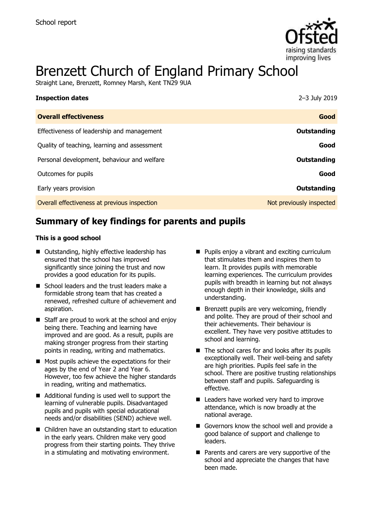

# Brenzett Church of England Primary School

Straight Lane, Brenzett, Romney Marsh, Kent TN29 9UA

| <b>Inspection dates</b>                      | 2-3 July 2019            |
|----------------------------------------------|--------------------------|
| <b>Overall effectiveness</b>                 | Good                     |
| Effectiveness of leadership and management   | Outstanding              |
| Quality of teaching, learning and assessment | Good                     |
| Personal development, behaviour and welfare  | Outstanding              |
| Outcomes for pupils                          | Good                     |
| Early years provision                        | Outstanding              |
| Overall effectiveness at previous inspection | Not previously inspected |

## **Summary of key findings for parents and pupils**

#### **This is a good school**

- Outstanding, highly effective leadership has ensured that the school has improved significantly since joining the trust and now provides a good education for its pupils.
- School leaders and the trust leaders make a formidable strong team that has created a renewed, refreshed culture of achievement and aspiration.
- Staff are proud to work at the school and enjoy being there. Teaching and learning have improved and are good. As a result, pupils are making stronger progress from their starting points in reading, writing and mathematics.
- $\blacksquare$  Most pupils achieve the expectations for their ages by the end of Year 2 and Year 6. However, too few achieve the higher standards in reading, writing and mathematics.
- Additional funding is used well to support the learning of vulnerable pupils. Disadvantaged pupils and pupils with special educational needs and/or disabilities (SEND) achieve well.
- Children have an outstanding start to education in the early years. Children make very good progress from their starting points. They thrive in a stimulating and motivating environment.
- Pupils enjoy a vibrant and exciting curriculum that stimulates them and inspires them to learn. It provides pupils with memorable learning experiences. The curriculum provides pupils with breadth in learning but not always enough depth in their knowledge, skills and understanding.
- Brenzett pupils are very welcoming, friendly and polite. They are proud of their school and their achievements. Their behaviour is excellent. They have very positive attitudes to school and learning.
- $\blacksquare$  The school cares for and looks after its pupils exceptionally well. Their well-being and safety are high priorities. Pupils feel safe in the school. There are positive trusting relationships between staff and pupils. Safeguarding is effective.
- Leaders have worked very hard to improve attendance, which is now broadly at the national average.
- Governors know the school well and provide a good balance of support and challenge to leaders.
- $\blacksquare$  Parents and carers are very supportive of the school and appreciate the changes that have been made.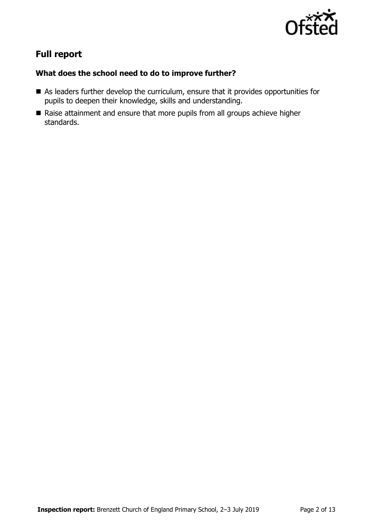

## **Full report**

### **What does the school need to do to improve further?**

- As leaders further develop the curriculum, ensure that it provides opportunities for pupils to deepen their knowledge, skills and understanding.
- Raise attainment and ensure that more pupils from all groups achieve higher standards.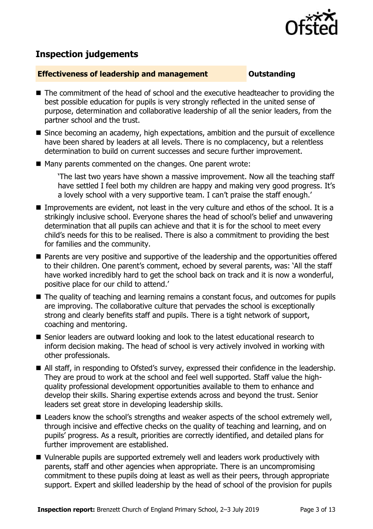

## **Inspection judgements**

#### **Effectiveness of leadership and management Constanding**

- The commitment of the head of school and the executive headteacher to providing the best possible education for pupils is very strongly reflected in the united sense of purpose, determination and collaborative leadership of all the senior leaders, from the partner school and the trust.
- Since becoming an academy, high expectations, ambition and the pursuit of excellence have been shared by leaders at all levels. There is no complacency, but a relentless determination to build on current successes and secure further improvement.
- Many parents commented on the changes. One parent wrote:

'The last two years have shown a massive improvement. Now all the teaching staff have settled I feel both my children are happy and making very good progress. It's a lovely school with a very supportive team. I can't praise the staff enough.'

- Improvements are evident, not least in the very culture and ethos of the school. It is a strikingly inclusive school. Everyone shares the head of school's belief and unwavering determination that all pupils can achieve and that it is for the school to meet every child's needs for this to be realised. There is also a commitment to providing the best for families and the community.
- **Parents are very positive and supportive of the leadership and the opportunities offered** to their children. One parent's comment, echoed by several parents, was: 'All the staff have worked incredibly hard to get the school back on track and it is now a wonderful, positive place for our child to attend.'
- The quality of teaching and learning remains a constant focus, and outcomes for pupils are improving. The collaborative culture that pervades the school is exceptionally strong and clearly benefits staff and pupils. There is a tight network of support, coaching and mentoring.
- Senior leaders are outward looking and look to the latest educational research to inform decision making. The head of school is very actively involved in working with other professionals.
- All staff, in responding to Ofsted's survey, expressed their confidence in the leadership. They are proud to work at the school and feel well supported. Staff value the highquality professional development opportunities available to them to enhance and develop their skills. Sharing expertise extends across and beyond the trust. Senior leaders set great store in developing leadership skills.
- Leaders know the school's strengths and weaker aspects of the school extremely well, through incisive and effective checks on the quality of teaching and learning, and on pupils' progress. As a result, priorities are correctly identified, and detailed plans for further improvement are established.
- Vulnerable pupils are supported extremely well and leaders work productively with parents, staff and other agencies when appropriate. There is an uncompromising commitment to these pupils doing at least as well as their peers, through appropriate support. Expert and skilled leadership by the head of school of the provision for pupils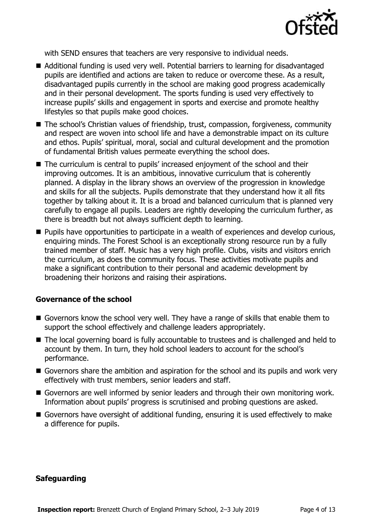

with SEND ensures that teachers are very responsive to individual needs.

- Additional funding is used very well. Potential barriers to learning for disadvantaged pupils are identified and actions are taken to reduce or overcome these. As a result, disadvantaged pupils currently in the school are making good progress academically and in their personal development. The sports funding is used very effectively to increase pupils' skills and engagement in sports and exercise and promote healthy lifestyles so that pupils make good choices.
- The school's Christian values of friendship, trust, compassion, forgiveness, community and respect are woven into school life and have a demonstrable impact on its culture and ethos. Pupils' spiritual, moral, social and cultural development and the promotion of fundamental British values permeate everything the school does.
- The curriculum is central to pupils' increased enjoyment of the school and their improving outcomes. It is an ambitious, innovative curriculum that is coherently planned. A display in the library shows an overview of the progression in knowledge and skills for all the subjects. Pupils demonstrate that they understand how it all fits together by talking about it. It is a broad and balanced curriculum that is planned very carefully to engage all pupils. Leaders are rightly developing the curriculum further, as there is breadth but not always sufficient depth to learning.
- **Pupils have opportunities to participate in a wealth of experiences and develop curious,** enquiring minds. The Forest School is an exceptionally strong resource run by a fully trained member of staff. Music has a very high profile. Clubs, visits and visitors enrich the curriculum, as does the community focus. These activities motivate pupils and make a significant contribution to their personal and academic development by broadening their horizons and raising their aspirations.

### **Governance of the school**

- Governors know the school very well. They have a range of skills that enable them to support the school effectively and challenge leaders appropriately.
- The local governing board is fully accountable to trustees and is challenged and held to account by them. In turn, they hold school leaders to account for the school's performance.
- Governors share the ambition and aspiration for the school and its pupils and work very effectively with trust members, senior leaders and staff.
- Governors are well informed by senior leaders and through their own monitoring work. Information about pupils' progress is scrutinised and probing questions are asked.
- Governors have oversight of additional funding, ensuring it is used effectively to make a difference for pupils.

### **Safeguarding**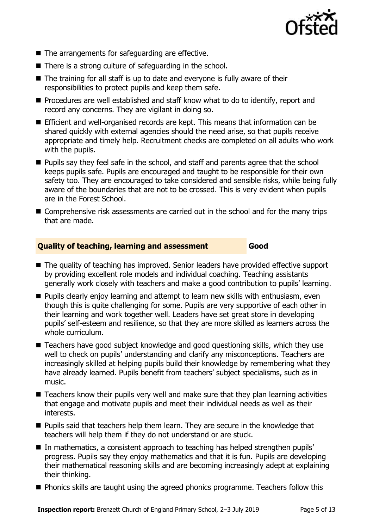

- $\blacksquare$  The arrangements for safeguarding are effective.
- There is a strong culture of safeguarding in the school.
- The training for all staff is up to date and everyone is fully aware of their responsibilities to protect pupils and keep them safe.
- **Procedures are well established and staff know what to do to identify, report and** record any concerns. They are vigilant in doing so.
- Efficient and well-organised records are kept. This means that information can be shared quickly with external agencies should the need arise, so that pupils receive appropriate and timely help. Recruitment checks are completed on all adults who work with the pupils.
- **Pupils say they feel safe in the school, and staff and parents agree that the school** keeps pupils safe. Pupils are encouraged and taught to be responsible for their own safety too. They are encouraged to take considered and sensible risks, while being fully aware of the boundaries that are not to be crossed. This is very evident when pupils are in the Forest School.
- Comprehensive risk assessments are carried out in the school and for the many trips that are made.

#### **Quality of teaching, learning and assessment Good**

- The quality of teaching has improved. Senior leaders have provided effective support by providing excellent role models and individual coaching. Teaching assistants generally work closely with teachers and make a good contribution to pupils' learning.
- **Pupils clearly enjoy learning and attempt to learn new skills with enthusiasm, even** though this is quite challenging for some. Pupils are very supportive of each other in their learning and work together well. Leaders have set great store in developing pupils' self-esteem and resilience, so that they are more skilled as learners across the whole curriculum.
- Teachers have good subject knowledge and good questioning skills, which they use well to check on pupils' understanding and clarify any misconceptions. Teachers are increasingly skilled at helping pupils build their knowledge by remembering what they have already learned. Pupils benefit from teachers' subject specialisms, such as in music.
- Teachers know their pupils very well and make sure that they plan learning activities that engage and motivate pupils and meet their individual needs as well as their interests.
- **Pupils said that teachers help them learn. They are secure in the knowledge that** teachers will help them if they do not understand or are stuck.
- In mathematics, a consistent approach to teaching has helped strengthen pupils' progress. Pupils say they enjoy mathematics and that it is fun. Pupils are developing their mathematical reasoning skills and are becoming increasingly adept at explaining their thinking.
- **Phonics skills are taught using the agreed phonics programme. Teachers follow this**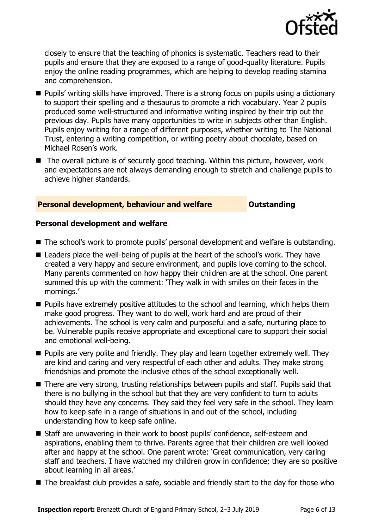

closely to ensure that the teaching of phonics is systematic. Teachers read to their pupils and ensure that they are exposed to a range of good-quality literature. Pupils enjoy the online reading programmes, which are helping to develop reading stamina and comprehension.

- Pupils' writing skills have improved. There is a strong focus on pupils using a dictionary to support their spelling and a thesaurus to promote a rich vocabulary. Year 2 pupils produced some well-structured and informative writing inspired by their trip out the previous day. Pupils have many opportunities to write in subjects other than English. Pupils enjoy writing for a range of different purposes, whether writing to The National Trust, entering a writing competition, or writing poetry about chocolate, based on Michael Rosen's work.
- The overall picture is of securely good teaching. Within this picture, however, work and expectations are not always demanding enough to stretch and challenge pupils to achieve higher standards.

#### **Personal development, behaviour and welfare <b>COULTS** Outstanding

#### **Personal development and welfare**

- The school's work to promote pupils' personal development and welfare is outstanding.
- Leaders place the well-being of pupils at the heart of the school's work. They have created a very happy and secure environment, and pupils love coming to the school. Many parents commented on how happy their children are at the school. One parent summed this up with the comment: 'They walk in with smiles on their faces in the mornings.'
- **Pupils have extremely positive attitudes to the school and learning, which helps them** make good progress. They want to do well, work hard and are proud of their achievements. The school is very calm and purposeful and a safe, nurturing place to be. Vulnerable pupils receive appropriate and exceptional care to support their social and emotional well-being.
- **Pupils are very polite and friendly. They play and learn together extremely well. They** are kind and caring and very respectful of each other and adults. They make strong friendships and promote the inclusive ethos of the school exceptionally well.
- There are very strong, trusting relationships between pupils and staff. Pupils said that there is no bullying in the school but that they are very confident to turn to adults should they have any concerns. They said they feel very safe in the school. They learn how to keep safe in a range of situations in and out of the school, including understanding how to keep safe online.
- Staff are unwavering in their work to boost pupils' confidence, self-esteem and aspirations, enabling them to thrive. Parents agree that their children are well looked after and happy at the school. One parent wrote: 'Great communication, very caring staff and teachers. I have watched my children grow in confidence; they are so positive about learning in all areas.'
- The breakfast club provides a safe, sociable and friendly start to the day for those who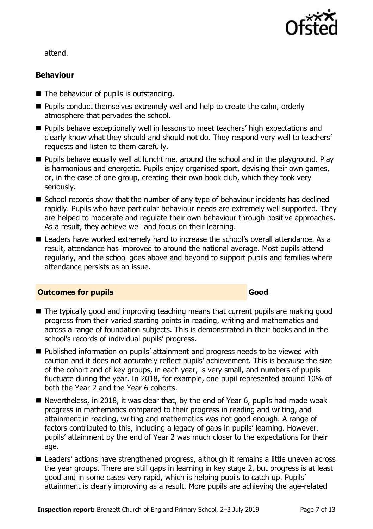

attend.

### **Behaviour**

- $\blacksquare$  The behaviour of pupils is outstanding.
- Pupils conduct themselves extremely well and help to create the calm, orderly atmosphere that pervades the school.
- **Pupils behave exceptionally well in lessons to meet teachers' high expectations and** clearly know what they should and should not do. They respond very well to teachers' requests and listen to them carefully.
- **Pupils behave equally well at lunchtime, around the school and in the playground. Play** is harmonious and energetic. Pupils enjoy organised sport, devising their own games, or, in the case of one group, creating their own book club, which they took very seriously.
- School records show that the number of any type of behaviour incidents has declined rapidly. Pupils who have particular behaviour needs are extremely well supported. They are helped to moderate and regulate their own behaviour through positive approaches. As a result, they achieve well and focus on their learning.
- Leaders have worked extremely hard to increase the school's overall attendance. As a result, attendance has improved to around the national average. Most pupils attend regularly, and the school goes above and beyond to support pupils and families where attendance persists as an issue.

#### **Outcomes for pupils Good**

- The typically good and improving teaching means that current pupils are making good progress from their varied starting points in reading, writing and mathematics and across a range of foundation subjects. This is demonstrated in their books and in the school's records of individual pupils' progress.
- Published information on pupils' attainment and progress needs to be viewed with caution and it does not accurately reflect pupils' achievement. This is because the size of the cohort and of key groups, in each year, is very small, and numbers of pupils fluctuate during the year. In 2018, for example, one pupil represented around 10% of both the Year 2 and the Year 6 cohorts.
- Nevertheless, in 2018, it was clear that, by the end of Year 6, pupils had made weak progress in mathematics compared to their progress in reading and writing, and attainment in reading, writing and mathematics was not good enough. A range of factors contributed to this, including a legacy of gaps in pupils' learning. However, pupils' attainment by the end of Year 2 was much closer to the expectations for their age.
- Leaders' actions have strengthened progress, although it remains a little uneven across the year groups. There are still gaps in learning in key stage 2, but progress is at least good and in some cases very rapid, which is helping pupils to catch up. Pupils' attainment is clearly improving as a result. More pupils are achieving the age-related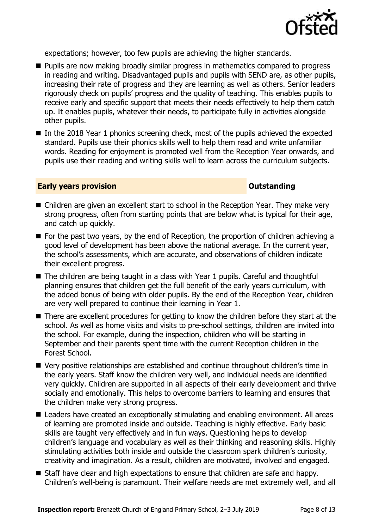

expectations; however, too few pupils are achieving the higher standards.

- **Pupils are now making broadly similar progress in mathematics compared to progress** in reading and writing. Disadvantaged pupils and pupils with SEND are, as other pupils, increasing their rate of progress and they are learning as well as others. Senior leaders rigorously check on pupils' progress and the quality of teaching. This enables pupils to receive early and specific support that meets their needs effectively to help them catch up. It enables pupils, whatever their needs, to participate fully in activities alongside other pupils.
- In the 2018 Year 1 phonics screening check, most of the pupils achieved the expected standard. Pupils use their phonics skills well to help them read and write unfamiliar words. Reading for enjoyment is promoted well from the Reception Year onwards, and pupils use their reading and writing skills well to learn across the curriculum subjects.

#### **Early years provision CONSTANDING TO A RESEARCH CONSTANDING TO A RESEARCH CONSTANDING TO A RESEARCH CONSTANDING TO A RESEARCH CONSTANDING TO A RESEARCH CONSTANDING TO A RESEARCH CONSTANDING TO A RESEARCH CONSTANDING TO**

- Children are given an excellent start to school in the Reception Year. They make very strong progress, often from starting points that are below what is typical for their age, and catch up quickly.
- For the past two years, by the end of Reception, the proportion of children achieving a good level of development has been above the national average. In the current year, the school's assessments, which are accurate, and observations of children indicate their excellent progress.
- The children are being taught in a class with Year 1 pupils. Careful and thoughtful planning ensures that children get the full benefit of the early years curriculum, with the added bonus of being with older pupils. By the end of the Reception Year, children are very well prepared to continue their learning in Year 1.
- There are excellent procedures for getting to know the children before they start at the school. As well as home visits and visits to pre-school settings, children are invited into the school. For example, during the inspection, children who will be starting in September and their parents spent time with the current Reception children in the Forest School.
- Very positive relationships are established and continue throughout children's time in the early years. Staff know the children very well, and individual needs are identified very quickly. Children are supported in all aspects of their early development and thrive socially and emotionally. This helps to overcome barriers to learning and ensures that the children make very strong progress.
- Leaders have created an exceptionally stimulating and enabling environment. All areas of learning are promoted inside and outside. Teaching is highly effective. Early basic skills are taught very effectively and in fun ways. Questioning helps to develop children's language and vocabulary as well as their thinking and reasoning skills. Highly stimulating activities both inside and outside the classroom spark children's curiosity, creativity and imagination. As a result, children are motivated, involved and engaged.
- Staff have clear and high expectations to ensure that children are safe and happy. Children's well-being is paramount. Their welfare needs are met extremely well, and all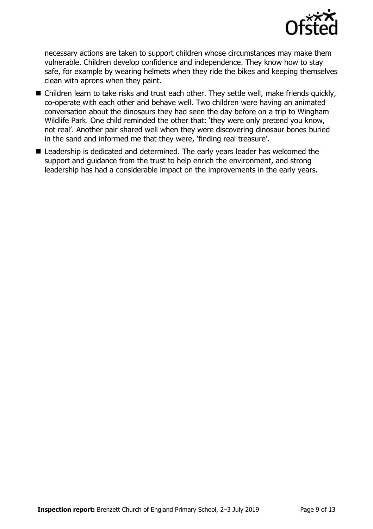

necessary actions are taken to support children whose circumstances may make them vulnerable. Children develop confidence and independence. They know how to stay safe, for example by wearing helmets when they ride the bikes and keeping themselves clean with aprons when they paint.

- Children learn to take risks and trust each other. They settle well, make friends quickly, co-operate with each other and behave well. Two children were having an animated conversation about the dinosaurs they had seen the day before on a trip to Wingham Wildlife Park. One child reminded the other that: 'they were only pretend you know, not real'. Another pair shared well when they were discovering dinosaur bones buried in the sand and informed me that they were, 'finding real treasure'.
- Leadership is dedicated and determined. The early years leader has welcomed the support and guidance from the trust to help enrich the environment, and strong leadership has had a considerable impact on the improvements in the early years.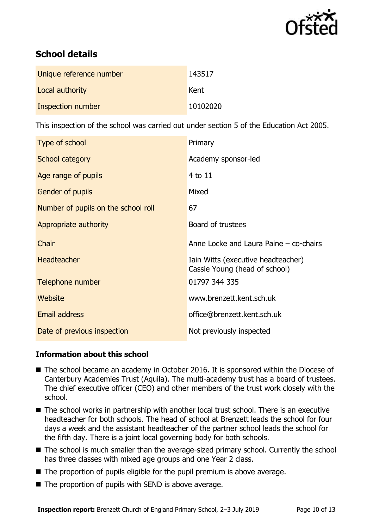

## **School details**

| Unique reference number | 143517   |
|-------------------------|----------|
| Local authority         | Kent     |
| Inspection number       | 10102020 |

This inspection of the school was carried out under section 5 of the Education Act 2005.

| Type of school                      | Primary                                                             |
|-------------------------------------|---------------------------------------------------------------------|
| School category                     | Academy sponsor-led                                                 |
| Age range of pupils                 | 4 to 11                                                             |
| Gender of pupils                    | Mixed                                                               |
| Number of pupils on the school roll | 67                                                                  |
| Appropriate authority               | Board of trustees                                                   |
|                                     |                                                                     |
| Chair                               | Anne Locke and Laura Paine – co-chairs                              |
| <b>Headteacher</b>                  | Iain Witts (executive headteacher)<br>Cassie Young (head of school) |
| Telephone number                    | 01797 344 335                                                       |
| Website                             | www.brenzett.kent.sch.uk                                            |
| <b>Email address</b>                | office@brenzett.kent.sch.uk                                         |

### **Information about this school**

- The school became an academy in October 2016. It is sponsored within the Diocese of Canterbury Academies Trust (Aquila). The multi-academy trust has a board of trustees. The chief executive officer (CEO) and other members of the trust work closely with the school.
- The school works in partnership with another local trust school. There is an executive headteacher for both schools. The head of school at Brenzett leads the school for four days a week and the assistant headteacher of the partner school leads the school for the fifth day. There is a joint local governing body for both schools.
- The school is much smaller than the average-sized primary school. Currently the school has three classes with mixed age groups and one Year 2 class.
- $\blacksquare$  The proportion of pupils eligible for the pupil premium is above average.
- $\blacksquare$  The proportion of pupils with SEND is above average.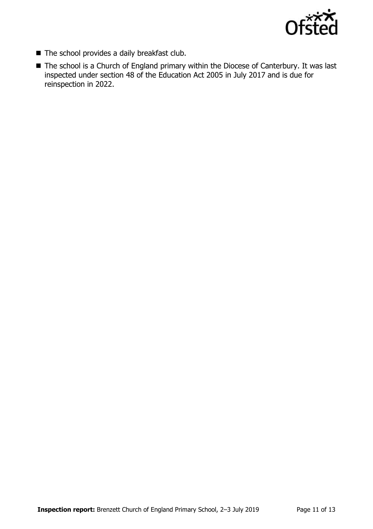

- The school provides a daily breakfast club.
- The school is a Church of England primary within the Diocese of Canterbury. It was last inspected under section 48 of the Education Act 2005 in July 2017 and is due for reinspection in 2022.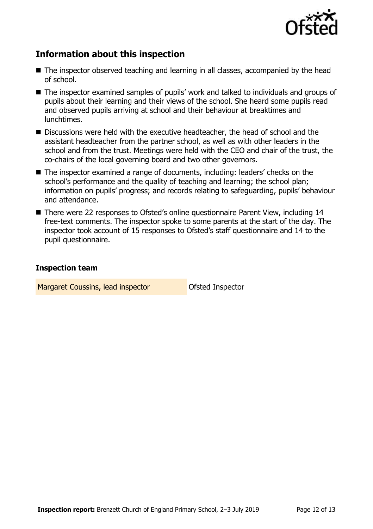

## **Information about this inspection**

- The inspector observed teaching and learning in all classes, accompanied by the head of school.
- The inspector examined samples of pupils' work and talked to individuals and groups of pupils about their learning and their views of the school. She heard some pupils read and observed pupils arriving at school and their behaviour at breaktimes and lunchtimes.
- Discussions were held with the executive headteacher, the head of school and the assistant headteacher from the partner school, as well as with other leaders in the school and from the trust. Meetings were held with the CEO and chair of the trust, the co-chairs of the local governing board and two other governors.
- The inspector examined a range of documents, including: leaders' checks on the school's performance and the quality of teaching and learning; the school plan; information on pupils' progress; and records relating to safeguarding, pupils' behaviour and attendance.
- There were 22 responses to Ofsted's online questionnaire Parent View, including 14 free-text comments. The inspector spoke to some parents at the start of the day. The inspector took account of 15 responses to Ofsted's staff questionnaire and 14 to the pupil questionnaire.

#### **Inspection team**

Margaret Coussins, lead inspector **Constant Constant** Ofsted Inspector